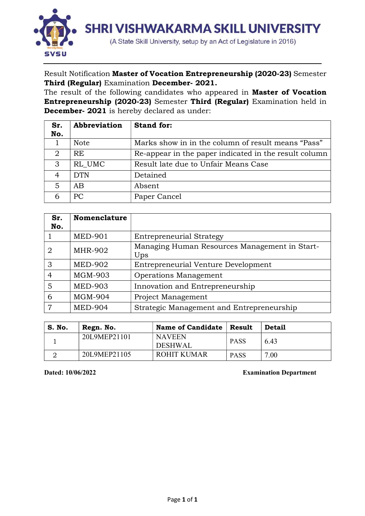

Result Notification Master of Vocation Entrepreneurship (2020-23) Semester Third (Regular) Examination December- 2021.

The result of the following candidates who appeared in **Master of Vocation** Entrepreneurship (2020-23) Semester Third (Regular) Examination held in December- 2021 is hereby declared as under:

| Sr. | Abbreviation  | <b>Stand for:</b>                                     |
|-----|---------------|-------------------------------------------------------|
| No. |               |                                                       |
|     | <b>Note</b>   | Marks show in in the column of result means "Pass"    |
| 2   | RE            | Re-appear in the paper indicated in the result column |
| 3   | RL UMC        | Result late due to Unfair Means Case                  |
| 4   | <b>DTN</b>    | Detained                                              |
| 5   | AB            | Absent                                                |
|     | <sub>PC</sub> | Paper Cancel                                          |

| Sr. | <b>Nomenclature</b> |                                                      |
|-----|---------------------|------------------------------------------------------|
| No. |                     |                                                      |
|     | <b>MED-901</b>      | <b>Entrepreneurial Strategy</b>                      |
| 2   | <b>MHR-902</b>      | Managing Human Resources Management in Start-<br>Ups |
| 3   | <b>MED-902</b>      | Entrepreneurial Venture Development                  |
| 4   | <b>MGM-903</b>      | Operations Management                                |
| 5   | <b>MED-903</b>      | Innovation and Entrepreneurship                      |
| 6   | <b>MGM-904</b>      | Project Management                                   |
| 7   | <b>MED-904</b>      | Strategic Management and Entrepreneurship            |

| S. No. | Regn. No.    | <b>Name of Candidate</b>        | Result      | <b>Detail</b> |  |  |  |  |
|--------|--------------|---------------------------------|-------------|---------------|--|--|--|--|
|        | 20L9MEP21101 | <b>NAVEEN</b><br><b>DESHWAL</b> | <b>PASS</b> | 6.43          |  |  |  |  |
|        | 20L9MEP21105 | ROHIT KUMAR                     | <b>PASS</b> | 7.00          |  |  |  |  |

Dated: 10/06/2022 Examination Department